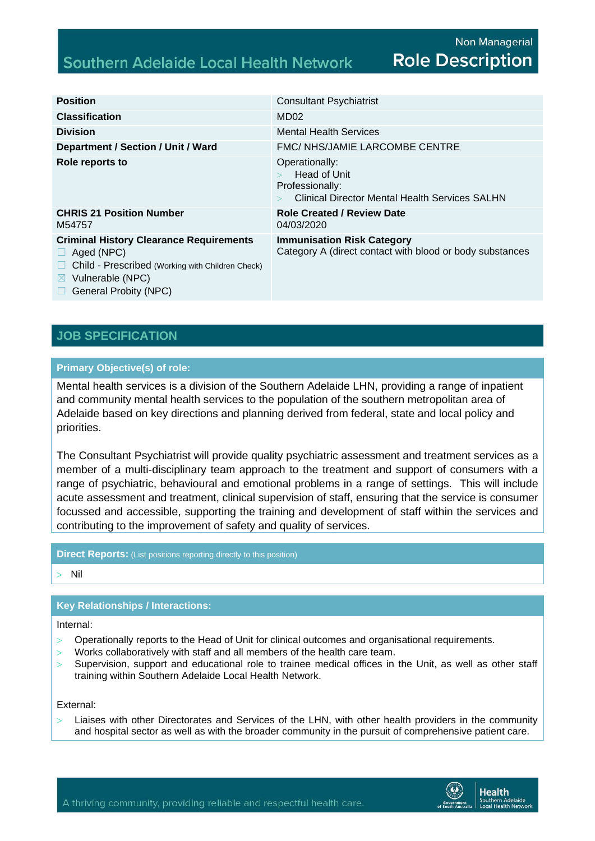# **Southern Adelaide Local Health Network**

| <b>Position</b>                                                                                                                                                            | <b>Consultant Psychiatrist</b>                                                                             |
|----------------------------------------------------------------------------------------------------------------------------------------------------------------------------|------------------------------------------------------------------------------------------------------------|
| <b>Classification</b>                                                                                                                                                      | MD <sub>02</sub>                                                                                           |
| <b>Division</b>                                                                                                                                                            | <b>Mental Health Services</b>                                                                              |
| Department / Section / Unit / Ward                                                                                                                                         | FMC/ NHS/JAMIE LARCOMBE CENTRE                                                                             |
| Role reports to                                                                                                                                                            | Operationally:<br>Head of Unit<br>Professionally:<br><b>Clinical Director Mental Health Services SALHN</b> |
| <b>CHRIS 21 Position Number</b><br>M54757                                                                                                                                  | <b>Role Created / Review Date</b><br>04/03/2020                                                            |
| <b>Criminal History Clearance Requirements</b><br>Aged (NPC)<br>Child - Prescribed (Working with Children Check)<br>Vulnerable (NPC)<br>$\bowtie$<br>General Probity (NPC) | <b>Immunisation Risk Category</b><br>Category A (direct contact with blood or body substances              |

## **JOB SPECIFICATION**

#### **Primary Objective(s) of role:**

Mental health services is a division of the Southern Adelaide LHN, providing a range of inpatient and community mental health services to the population of the southern metropolitan area of Adelaide based on key directions and planning derived from federal, state and local policy and priorities.

The Consultant Psychiatrist will provide quality psychiatric assessment and treatment services as a member of a multi-disciplinary team approach to the treatment and support of consumers with a range of psychiatric, behavioural and emotional problems in a range of settings. This will include acute assessment and treatment, clinical supervision of staff, ensuring that the service is consumer focussed and accessible, supporting the training and development of staff within the services and contributing to the improvement of safety and quality of services.

**Direct Reports:** (List positions reporting directly to this position)

Nil

### **Key Relationships / Interactions:**

Internal:

- Operationally reports to the Head of Unit for clinical outcomes and organisational requirements.
- Works collaboratively with staff and all members of the health care team.
- Supervision, support and educational role to trainee medical offices in the Unit, as well as other staff training within Southern Adelaide Local Health Network.

External:

 $>$  Liaises with other Directorates and Services of the LHN, with other health providers in the community and hospital sector as well as with the broader community in the pursuit of comprehensive patient care.

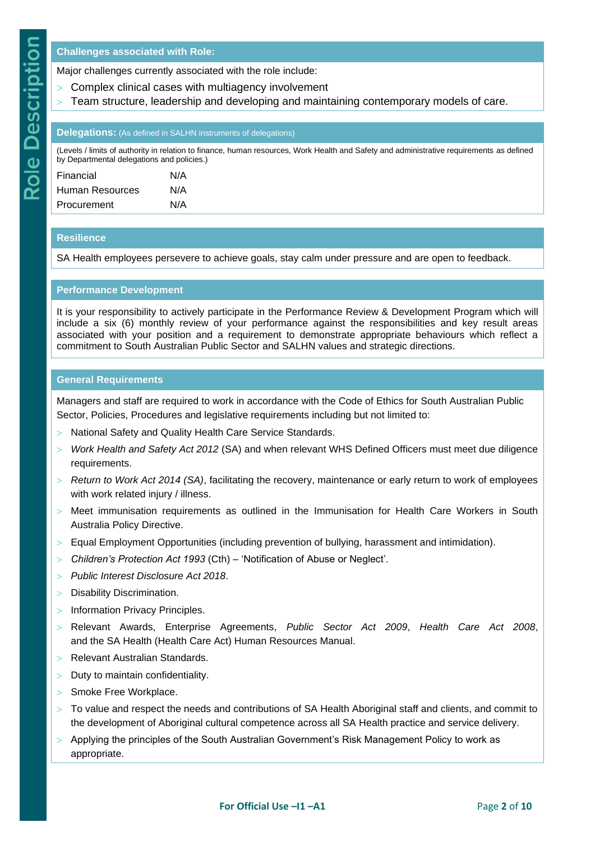#### **Challenges associated with Role:**

Major challenges currently associated with the role include:

- Complex clinical cases with multiagency involvement
- Team structure, leadership and developing and maintaining contemporary models of care.

#### **Delegations:** (As defined in SALHN instruments of delegations)

(Levels / limits of authority in relation to finance, human resources, Work Health and Safety and administrative requirements as defined by Departmental delegations and policies.)

| Financial       | N/A |
|-----------------|-----|
| Human Resources | N/A |
| Procurement     | N/A |

#### **Resilience**

SA Health employees persevere to achieve goals, stay calm under pressure and are open to feedback.

#### **Performance Development**

It is your responsibility to actively participate in the Performance Review & Development Program which will include a six (6) monthly review of your performance against the responsibilities and key result areas associated with your position and a requirement to demonstrate appropriate behaviours which reflect a commitment to South Australian Public Sector and SALHN values and strategic directions.

#### **General Requirements**

Managers and staff are required to work in accordance with the Code of Ethics for South Australian Public Sector, Policies, Procedures and legislative requirements including but not limited to:

- National Safety and Quality Health Care Service Standards.
- *Work Health and Safety Act 2012* (SA) and when relevant WHS Defined Officers must meet due diligence requirements.
- *Return to Work Act 2014 (SA)*, facilitating the recovery, maintenance or early return to work of employees with work related injury / illness.
- Meet immunisation requirements as outlined in the Immunisation for Health Care Workers in South Australia Policy Directive.
- Equal Employment Opportunities (including prevention of bullying, harassment and intimidation).
- *Children's Protection Act 1993* (Cth) 'Notification of Abuse or Neglect'.
- *Public Interest Disclosure Act 2018*.
- Disability Discrimination.
- $>$  Information Privacy Principles.
- Relevant Awards, Enterprise Agreements, *Public Sector Act 2009*, *Health Care Act 2008*, and the SA Health (Health Care Act) Human Resources Manual.
- Relevant Australian Standards.
- $>$  Duty to maintain confidentiality.
- > Smoke Free Workplace.
- $>$  To value and respect the needs and contributions of SA Health Aboriginal staff and clients, and commit to the development of Aboriginal cultural competence across all SA Health practice and service delivery.
- $>$  Applying the principles of the South Australian Government's Risk Management Policy to work as appropriate.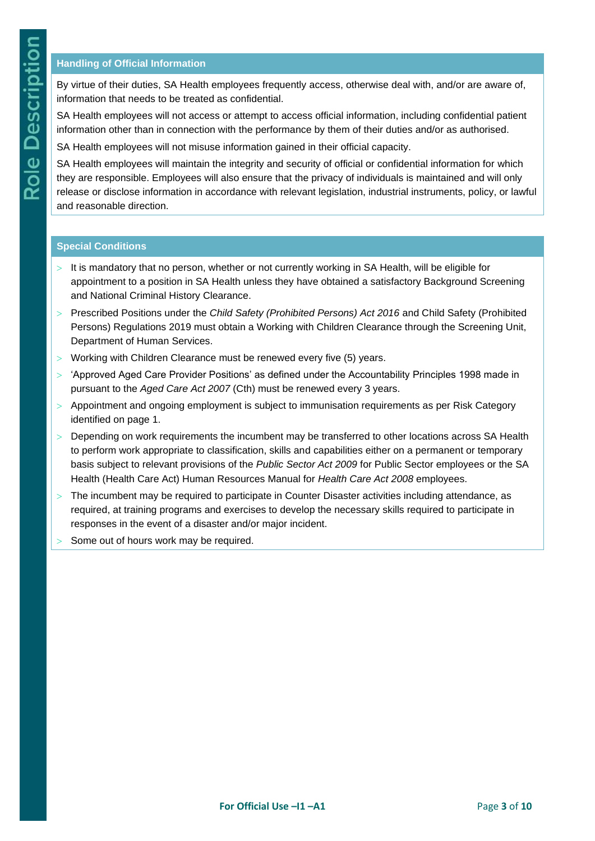### **Handling of Official Information**

By virtue of their duties, SA Health employees frequently access, otherwise deal with, and/or are aware of, information that needs to be treated as confidential.

SA Health employees will not access or attempt to access official information, including confidential patient information other than in connection with the performance by them of their duties and/or as authorised.

SA Health employees will not misuse information gained in their official capacity.

SA Health employees will maintain the integrity and security of official or confidential information for which they are responsible. Employees will also ensure that the privacy of individuals is maintained and will only release or disclose information in accordance with relevant legislation, industrial instruments, policy, or lawful and reasonable direction.

#### **Special Conditions**

- It is mandatory that no person, whether or not currently working in SA Health, will be eligible for appointment to a position in SA Health unless they have obtained a satisfactory Background Screening and National Criminal History Clearance.
- Prescribed Positions under the *Child Safety (Prohibited Persons) Act 2016* and Child Safety (Prohibited Persons) Regulations 2019 must obtain a Working with Children Clearance through the Screening Unit, Department of Human Services.
- Working with Children Clearance must be renewed every five (5) years.
- $>$  'Approved Aged Care Provider Positions' as defined under the Accountability Principles 1998 made in pursuant to the *Aged Care Act 2007* (Cth) must be renewed every 3 years.
- $>$  Appointment and ongoing employment is subject to immunisation requirements as per Risk Category identified on page 1.
- > Depending on work requirements the incumbent may be transferred to other locations across SA Health to perform work appropriate to classification, skills and capabilities either on a permanent or temporary basis subject to relevant provisions of the *Public Sector Act 2009* for Public Sector employees or the SA Health (Health Care Act) Human Resources Manual for *Health Care Act 2008* employees.
- The incumbent may be required to participate in Counter Disaster activities including attendance, as required, at training programs and exercises to develop the necessary skills required to participate in responses in the event of a disaster and/or major incident.
- Some out of hours work may be required.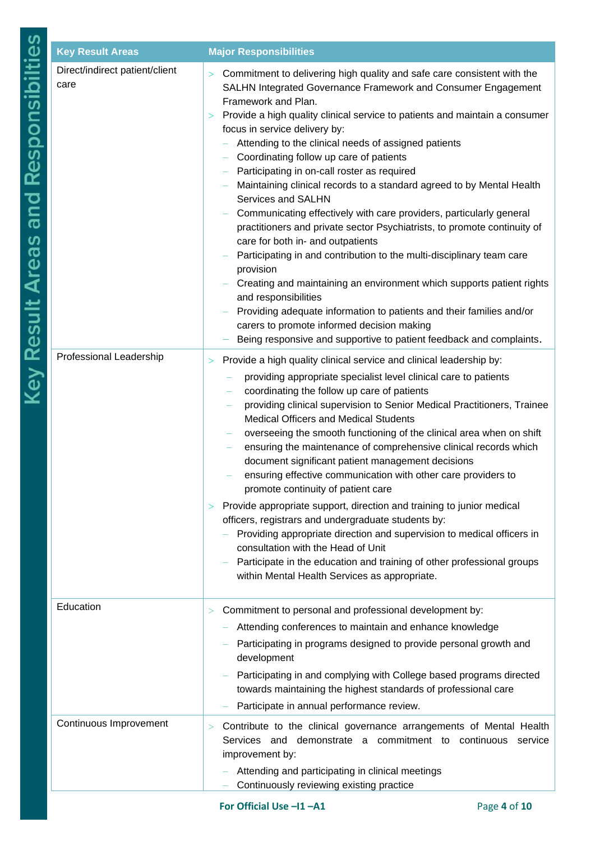| <b>Key Result Areas</b>                | <b>Major Responsibilities</b>                                                                                                                                                                                                                                                                                                                                                                                                                                                                                                                                                                                                                                                                                                                                                                                                                                                                                                                                                                                                                                                                                                    |
|----------------------------------------|----------------------------------------------------------------------------------------------------------------------------------------------------------------------------------------------------------------------------------------------------------------------------------------------------------------------------------------------------------------------------------------------------------------------------------------------------------------------------------------------------------------------------------------------------------------------------------------------------------------------------------------------------------------------------------------------------------------------------------------------------------------------------------------------------------------------------------------------------------------------------------------------------------------------------------------------------------------------------------------------------------------------------------------------------------------------------------------------------------------------------------|
| Direct/indirect patient/client<br>care | Commitment to delivering high quality and safe care consistent with the<br>$\geq$<br>SALHN Integrated Governance Framework and Consumer Engagement<br>Framework and Plan.<br>Provide a high quality clinical service to patients and maintain a consumer<br>$\geq$<br>focus in service delivery by:<br>Attending to the clinical needs of assigned patients<br>Coordinating follow up care of patients<br>Participating in on-call roster as required<br>Maintaining clinical records to a standard agreed to by Mental Health<br>Services and SALHN<br>Communicating effectively with care providers, particularly general<br>practitioners and private sector Psychiatrists, to promote continuity of<br>care for both in- and outpatients<br>Participating in and contribution to the multi-disciplinary team care<br>provision<br>Creating and maintaining an environment which supports patient rights<br>and responsibilities<br>Providing adequate information to patients and their families and/or<br>carers to promote informed decision making<br>Being responsive and supportive to patient feedback and complaints. |
| Professional Leadership                | Provide a high quality clinical service and clinical leadership by:<br>$\rm{>}$<br>providing appropriate specialist level clinical care to patients<br>coordinating the follow up care of patients<br>providing clinical supervision to Senior Medical Practitioners, Trainee<br><b>Medical Officers and Medical Students</b><br>overseeing the smooth functioning of the clinical area when on shift<br>ensuring the maintenance of comprehensive clinical records which<br>document significant patient management decisions<br>ensuring effective communication with other care providers to<br>promote continuity of patient care<br>Provide appropriate support, direction and training to junior medical<br>$\geq$<br>officers, registrars and undergraduate students by:<br>Providing appropriate direction and supervision to medical officers in<br>consultation with the Head of Unit<br>Participate in the education and training of other professional groups<br>within Mental Health Services as appropriate.                                                                                                       |
| Education<br>Continuous Improvement    | Commitment to personal and professional development by:<br>><br>Attending conferences to maintain and enhance knowledge<br>Participating in programs designed to provide personal growth and<br>development<br>Participating in and complying with College based programs directed<br>towards maintaining the highest standards of professional care<br>Participate in annual performance review.<br>Contribute to the clinical governance arrangements of Mental Health<br>><br>Services and demonstrate a commitment to continuous service                                                                                                                                                                                                                                                                                                                                                                                                                                                                                                                                                                                     |
|                                        | improvement by:<br>Attending and participating in clinical meetings<br>Continuously reviewing existing practice                                                                                                                                                                                                                                                                                                                                                                                                                                                                                                                                                                                                                                                                                                                                                                                                                                                                                                                                                                                                                  |
|                                        | For Official Use -11-A1<br>Page 4 of 10                                                                                                                                                                                                                                                                                                                                                                                                                                                                                                                                                                                                                                                                                                                                                                                                                                                                                                                                                                                                                                                                                          |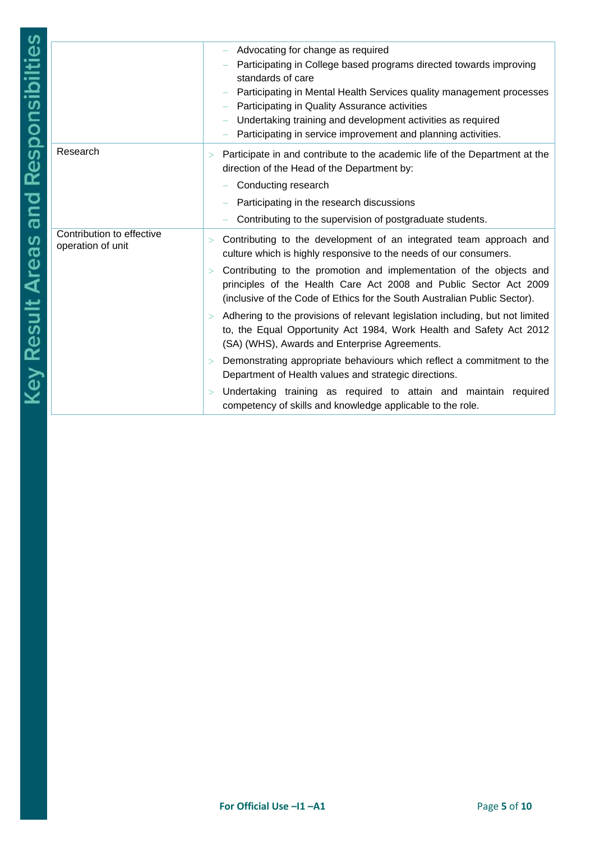|                           | Advocating for change as required<br>Participating in College based programs directed towards improving<br>standards of care<br>Participating in Mental Health Services quality management processes<br>Participating in Quality Assurance activities<br>Undertaking training and development activities as required<br>Participating in service improvement and planning activities. |
|---------------------------|---------------------------------------------------------------------------------------------------------------------------------------------------------------------------------------------------------------------------------------------------------------------------------------------------------------------------------------------------------------------------------------|
| Research                  | Participate in and contribute to the academic life of the Department at the<br>><br>direction of the Head of the Department by:                                                                                                                                                                                                                                                       |
|                           | Conducting research<br>Participating in the research discussions                                                                                                                                                                                                                                                                                                                      |
|                           | Contributing to the supervision of postgraduate students.                                                                                                                                                                                                                                                                                                                             |
| Contribution to effective |                                                                                                                                                                                                                                                                                                                                                                                       |
| operation of unit         | Contributing to the development of an integrated team approach and<br>><br>culture which is highly responsive to the needs of our consumers.                                                                                                                                                                                                                                          |
|                           | Contributing to the promotion and implementation of the objects and<br>><br>principles of the Health Care Act 2008 and Public Sector Act 2009<br>(inclusive of the Code of Ethics for the South Australian Public Sector).                                                                                                                                                            |
|                           | Adhering to the provisions of relevant legislation including, but not limited<br>><br>to, the Equal Opportunity Act 1984, Work Health and Safety Act 2012<br>(SA) (WHS), Awards and Enterprise Agreements.                                                                                                                                                                            |
|                           | Demonstrating appropriate behaviours which reflect a commitment to the<br>$\rm{>}$<br>Department of Health values and strategic directions.                                                                                                                                                                                                                                           |
|                           | Undertaking training as required to attain and maintain required<br>><br>competency of skills and knowledge applicable to the role.                                                                                                                                                                                                                                                   |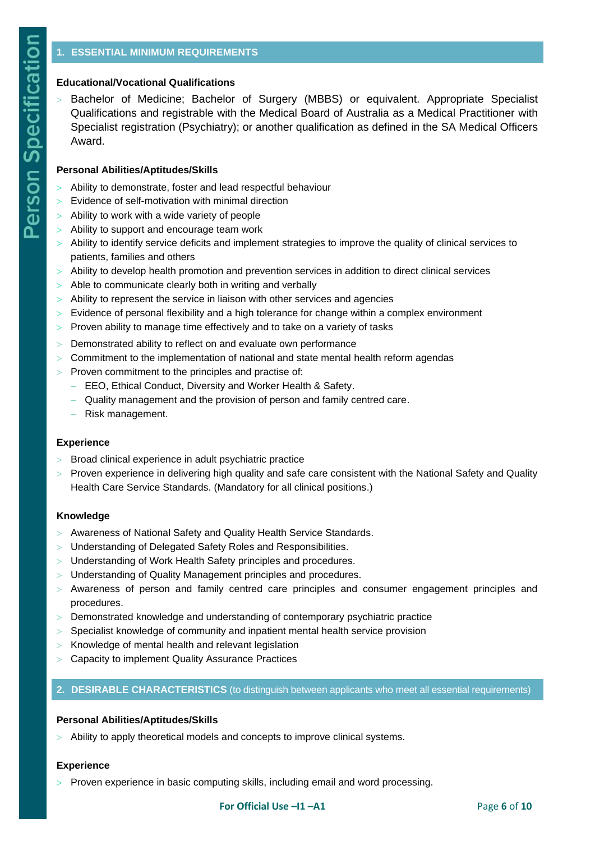### **Educational/Vocational Qualifications**

 Bachelor of Medicine; Bachelor of Surgery (MBBS) or equivalent. Appropriate Specialist Qualifications and registrable with the Medical Board of Australia as a Medical Practitioner with Specialist registration (Psychiatry); or another qualification as defined in the SA Medical Officers Award.

#### **Personal Abilities/Aptitudes/Skills**

- Ability to demonstrate, foster and lead respectful behaviour
- Evidence of self-motivation with minimal direction
- Ability to work with a wide variety of people
- Ability to support and encourage team work
- Ability to identify service deficits and implement strategies to improve the quality of clinical services to patients, families and others
- $>$  Ability to develop health promotion and prevention services in addition to direct clinical services
- > Able to communicate clearly both in writing and verbally
- Ability to represent the service in liaison with other services and agencies
- $>$  Evidence of personal flexibility and a high tolerance for change within a complex environment
- $>$  Proven ability to manage time effectively and to take on a variety of tasks
- Demonstrated ability to reflect on and evaluate own performance
- $>$  Commitment to the implementation of national and state mental health reform agendas
- $>$  Proven commitment to the principles and practise of:
	- − EEO, Ethical Conduct, Diversity and Worker Health & Safety.
	- Quality management and the provision of person and family centred care.
	- − Risk management.

#### **Experience**

- $>$  Broad clinical experience in adult psychiatric practice
- Proven experience in delivering high quality and safe care consistent with the National Safety and Quality Health Care Service Standards. (Mandatory for all clinical positions.)

#### **Knowledge**

- Awareness of National Safety and Quality Health Service Standards.
- Understanding of Delegated Safety Roles and Responsibilities.
- Understanding of Work Health Safety principles and procedures.
- Understanding of Quality Management principles and procedures.
- $>$  Awareness of person and family centred care principles and consumer engagement principles and procedures.
- Demonstrated knowledge and understanding of contemporary psychiatric practice
- $>$  Specialist knowledge of community and inpatient mental health service provision
- $>$  Knowledge of mental health and relevant legislation
- Capacity to implement Quality Assurance Practices

### **2. DESIRABLE CHARACTERISTICS** (to distinguish between applicants who meet all essential requirements)

#### **Personal Abilities/Aptitudes/Skills**

Ability to apply theoretical models and concepts to improve clinical systems.

#### **Experience**

Proven experience in basic computing skills, including email and word processing.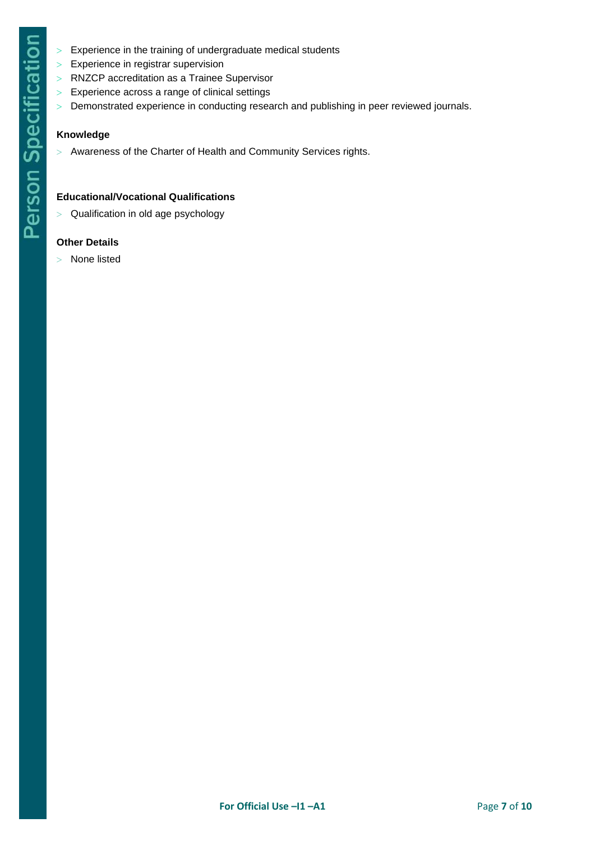- $>$  Experience in the training of undergraduate medical students
- $>$  Experience in registrar supervision
- RNZCP accreditation as a Trainee Supervisor
- Experience across a range of clinical settings
- Demonstrated experience in conducting research and publishing in peer reviewed journals.

### **Knowledge**

Awareness of the Charter of Health and Community Services rights.

# **Educational/Vocational Qualifications**

 $>$  Qualification in old age psychology

### **Other Details**

None listed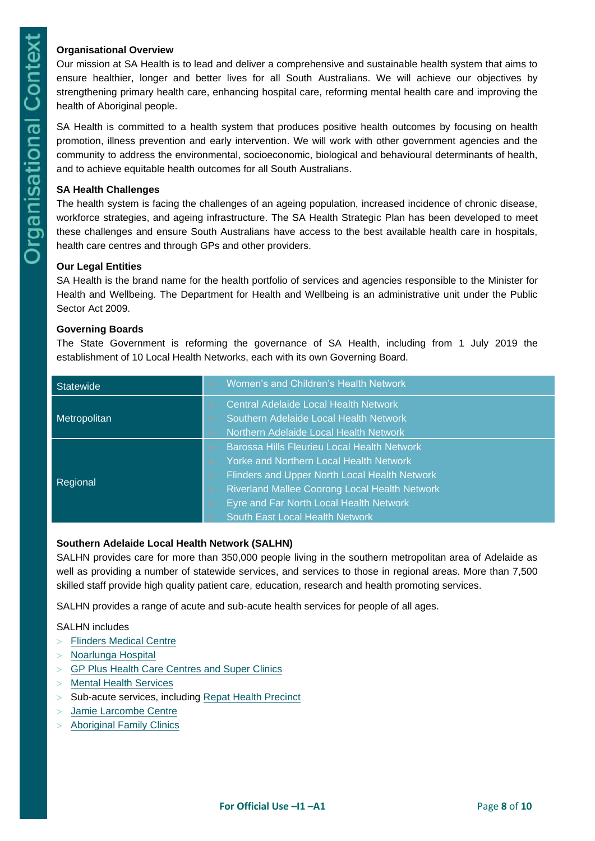### **Organisational Overview**

Our mission at SA Health is to lead and deliver a comprehensive and sustainable health system that aims to ensure healthier, longer and better lives for all South Australians. We will achieve our objectives by strengthening primary health care, enhancing hospital care, reforming mental health care and improving the health of Aboriginal people.

SA Health is committed to a health system that produces positive health outcomes by focusing on health promotion, illness prevention and early intervention. We will work with other government agencies and the community to address the environmental, socioeconomic, biological and behavioural determinants of health, and to achieve equitable health outcomes for all South Australians.

#### **SA Health Challenges**

The health system is facing the challenges of an ageing population, increased incidence of chronic disease, workforce strategies, and ageing infrastructure. The SA Health Strategic Plan has been developed to meet these challenges and ensure South Australians have access to the best available health care in hospitals, health care centres and through GPs and other providers.

#### **Our Legal Entities**

SA Health is the brand name for the health portfolio of services and agencies responsible to the Minister for Health and Wellbeing. The Department for Health and Wellbeing is an administrative unit under the Public Sector Act 2009.

### **Governing Boards**

The State Government is reforming the governance of SA Health, including from 1 July 2019 the establishment of 10 Local Health Networks, each with its own Governing Board.

| <b>Statewide</b> |          | Women's and Children's Health Network              |
|------------------|----------|----------------------------------------------------|
| Metropolitan     |          | <b>Central Adelaide Local Health Network</b>       |
|                  |          | Southern Adelaide Local Health Network             |
|                  |          | Northern Adelaide Local Health Network             |
| Regional         |          | <b>Barossa Hills Fleurieu Local Health Network</b> |
|                  |          | Yorke and Northern Local Health Network            |
|                  | $\rm{>}$ | Flinders and Upper North Local Health Network      |
|                  | $\rm{>}$ | Riverland Mallee Coorong Local Health Network      |
|                  |          | Eyre and Far North Local Health Network            |
|                  |          | South East Local Health Network                    |

### **Southern Adelaide Local Health Network (SALHN)**

SALHN provides care for more than 350,000 people living in the southern metropolitan area of Adelaide as well as providing a number of statewide services, and services to those in regional areas. More than 7,500 skilled staff provide high quality patient care, education, research and health promoting services.

SALHN provides a range of acute and sub-acute health services for people of all ages.

### SALHN includes

- [Flinders](https://www.sahealth.sa.gov.au/wps/wcm/connect/public+content/sa+health+internet/health+services/hospitals+and+health+services+metropolitan+adelaide/flinders+medical+centre) Medical Centre
- [Noarlunga](https://www.sahealth.sa.gov.au/wps/wcm/connect/public+content/sa+health+internet/health+services/hospitals+and+health+services+metropolitan+adelaide/noarlunga+hospital) Hospital
- GP Plus Health Care [Centres](https://www.sahealth.sa.gov.au/wps/wcm/connect/public+content/sa+health+internet/about+us/our+local+health+networks/southern+adelaide+local+health+network/our+services/gp+plus+health+care+centres+and+clinics+at+salhn) and Super Clinics
- Mental Health [Services](https://www.sahealth.sa.gov.au/wps/wcm/connect/public+content/sa+health+internet/health+services/mental+health+services)
- > Sub-acute services, including Repat Health [Precinct](https://www.sahealth.sa.gov.au/wps/wcm/connect/public+content/sa+health+internet/health+services/hospitals+and+health+services+metropolitan+adelaide/repatriation+general+hospital/repatriation+general+hospital)
- Jamie [Larcombe](https://www.sahealth.sa.gov.au/wps/wcm/connect/public%20content/sa%20health%20internet/health%20services/mental%20health%20services/jamie%20larcombe%20centre%20veterans%20mental%20health%20precinct) Centre
- [Aboriginal](https://www.sahealth.sa.gov.au/wps/wcm/connect/public+content/sa+health+internet/health+services/gp+plus+health+care+services+and+centres/noarlunga+gp+plus+super+clinic/aboriginal+health+services+at+noarlunga+and+clovelly+park) Family Clinics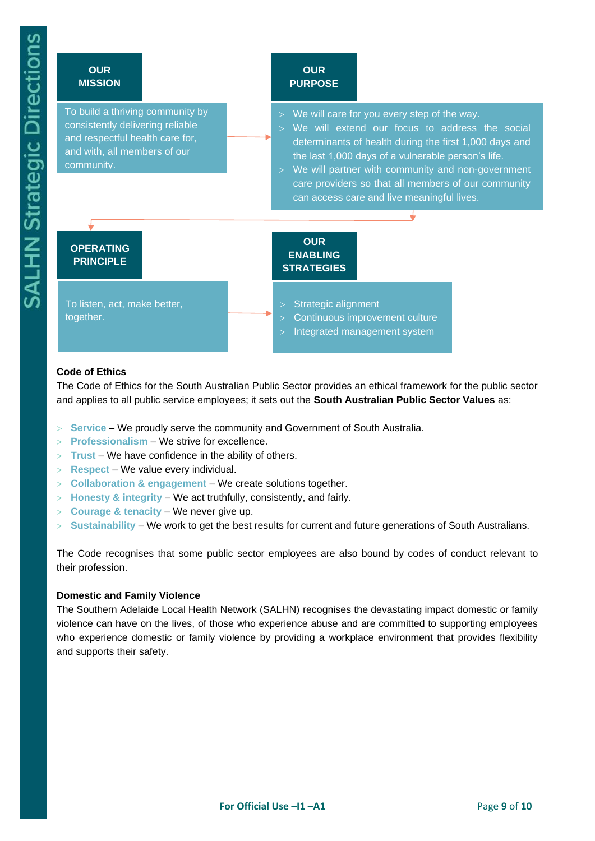#### **OUR MISSION**

To build a thriving community by consistently delivering reliable and respectful health care for, and with, all members of our community.

#### **OUR PURPOSE**

- $>$  We will care for you every step of the way.
- We will extend our focus to address the social determinants of health during the first 1,000 days and the last 1,000 days of a vulnerable person's life.
- We will partner with community and non-government care providers so that all members of our community can access care and live meaningful lives.

# **OPERATING PRINCIPLE**

To listen, act, make better, together.

### **OUR ENABLING STRATEGIES**

 $>$  Strategic alignment

- Continuous improvement culture
- Integrated management system

# **Code of Ethics**

The Code of Ethics for the South Australian Public Sector provides an ethical framework for the public sector and applies to all public service employees; it sets out the **South Australian Public Sector Values** as:

- **Service** We proudly serve the community and Government of South Australia.
- **Professionalism** We strive for excellence.
- **Trust** We have confidence in the ability of others.
- **Respect** We value every individual.
- **Collaboration & engagement** We create solutions together.
- **Honesty & integrity** We act truthfully, consistently, and fairly.
- **Courage & tenacity** We never give up.
- **Sustainability** We work to get the best results for current and future generations of South Australians.

The Code recognises that some public sector employees are also bound by codes of conduct relevant to their profession.

### **Domestic and Family Violence**

The Southern Adelaide Local Health Network (SALHN) recognises the devastating impact domestic or family violence can have on the lives, of those who experience abuse and are committed to supporting employees who experience domestic or family violence by providing a workplace environment that provides flexibility and supports their safety.